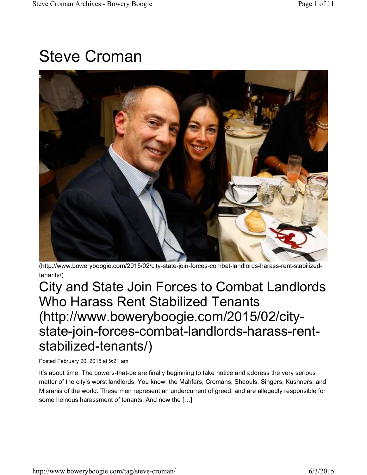# Steve Croman



(http://www.boweryboogie.com/2015/02/city-state-join-forces-combat-landlords-harass-rent-stabilizedtenants/)

City and State Join Forces to Combat Landlords Who Harass Rent Stabilized Tenants (http://www.boweryboogie.com/2015/02/citystate-join-forces-combat-landlords-harass-rentstabilized-tenants/)

Posted February 20, 2015 at 9:21 am

It's about time. The powers-that-be are finally beginning to take notice and address the very serious matter of the city's worst landlords. You know, the Mahfars, Cromans, Shaouls, Singers, Kushners, and Misrahis of the world. These men represent an undercurrent of greed, and are allegedly responsible for some heinous harassment of tenants. And now the […]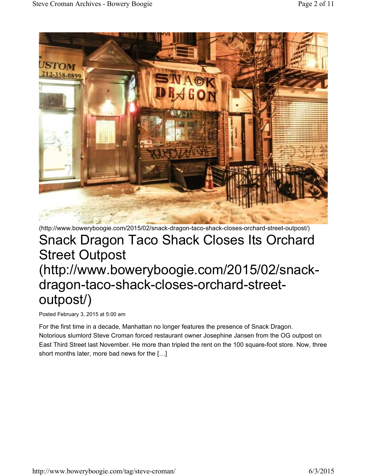

#### (http://www.boweryboogie.com/2015/02/snack-dragon-taco-shack-closes-orchard-street-outpost/) Snack Dragon Taco Shack Closes Its Orchard Street Outpost (http://www.boweryboogie.com/2015/02/snackdragon-taco-shack-closes-orchard-streetoutpost/)

Posted February 3, 2015 at 5:00 am

For the first time in a decade, Manhattan no longer features the presence of Snack Dragon. Notorious slumlord Steve Croman forced restaurant owner Josephine Jansen from the OG outpost on East Third Street last November. He more than tripled the rent on the 100 square-foot store. Now, three short months later, more bad news for the […]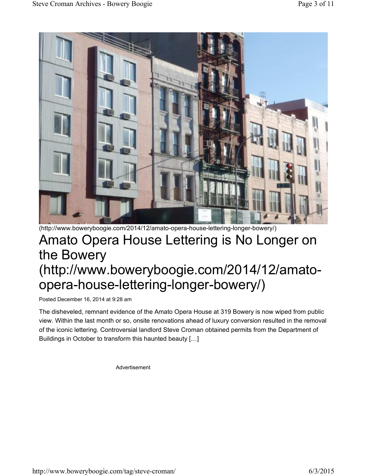

#### (http://www.boweryboogie.com/2014/12/amato-opera-house-lettering-longer-bowery/) Amato Opera House Lettering is No Longer on the Bowery (http://www.boweryboogie.com/2014/12/amatoopera-house-lettering-longer-bowery/)

Posted December 16, 2014 at 9:28 am

The disheveled, remnant evidence of the Amato Opera House at 319 Bowery is now wiped from public view. Within the last month or so, onsite renovations ahead of luxury conversion resulted in the removal of the iconic lettering. Controversial landlord Steve Croman obtained permits from the Department of Buildings in October to transform this haunted beauty […]

Advertisement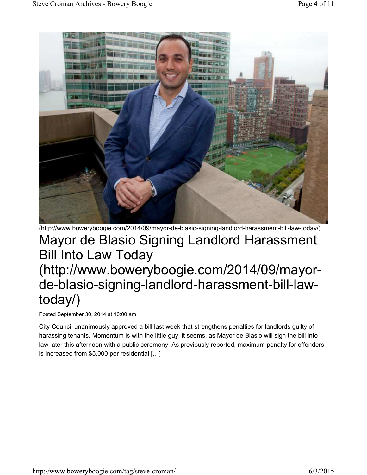

#### (http://www.boweryboogie.com/2014/09/mayor-de-blasio-signing-landlord-harassment-bill-law-today/) Mayor de Blasio Signing Landlord Harassment Bill Into Law Today (http://www.boweryboogie.com/2014/09/mayorde-blasio-signing-landlord-harassment-bill-lawtoday/)

Posted September 30, 2014 at 10:00 am

City Council unanimously approved a bill last week that strengthens penalties for landlords guilty of harassing tenants. Momentum is with the little guy, it seems, as Mayor de Blasio will sign the bill into law later this afternoon with a public ceremony. As previously reported, maximum penalty for offenders is increased from \$5,000 per residential […]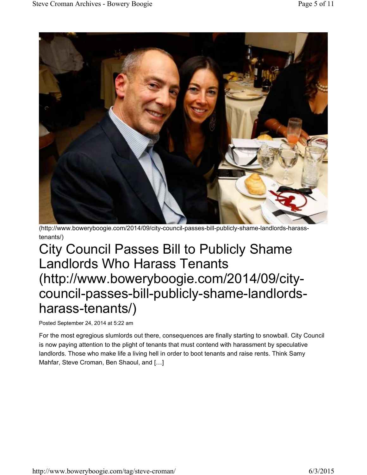

(http://www.boweryboogie.com/2014/09/city-council-passes-bill-publicly-shame-landlords-harasstenants/)

## City Council Passes Bill to Publicly Shame Landlords Who Harass Tenants (http://www.boweryboogie.com/2014/09/citycouncil-passes-bill-publicly-shame-landlordsharass-tenants/)

Posted September 24, 2014 at 5:22 am

For the most egregious slumlords out there, consequences are finally starting to snowball. City Council is now paying attention to the plight of tenants that must contend with harassment by speculative landlords. Those who make life a living hell in order to boot tenants and raise rents. Think Samy Mahfar, Steve Croman, Ben Shaoul, and […]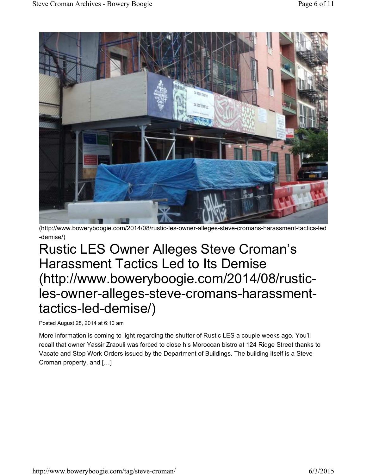

(http://www.boweryboogie.com/2014/08/rustic-les-owner-alleges-steve-cromans-harassment-tactics-led -demise/)

## Rustic LES Owner Alleges Steve Croman's Harassment Tactics Led to Its Demise (http://www.boweryboogie.com/2014/08/rusticles-owner-alleges-steve-cromans-harassmenttactics-led-demise/)

Posted August 28, 2014 at 6:10 am

More information is coming to light regarding the shutter of Rustic LES a couple weeks ago. You'll recall that owner Yassir Zraouli was forced to close his Moroccan bistro at 124 Ridge Street thanks to Vacate and Stop Work Orders issued by the Department of Buildings. The building itself is a Steve Croman property, and […]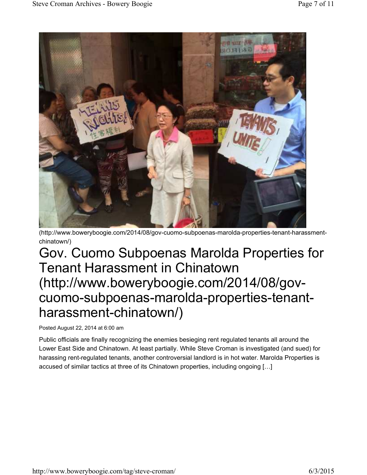

(http://www.boweryboogie.com/2014/08/gov-cuomo-subpoenas-marolda-properties-tenant-harassmentchinatown/)

## Gov. Cuomo Subpoenas Marolda Properties for Tenant Harassment in Chinatown (http://www.boweryboogie.com/2014/08/govcuomo-subpoenas-marolda-properties-tenantharassment-chinatown/)

Posted August 22, 2014 at 6:00 am

Public officials are finally recognizing the enemies besieging rent regulated tenants all around the Lower East Side and Chinatown. At least partially. While Steve Croman is investigated (and sued) for harassing rent-regulated tenants, another controversial landlord is in hot water. Marolda Properties is accused of similar tactics at three of its Chinatown properties, including ongoing […]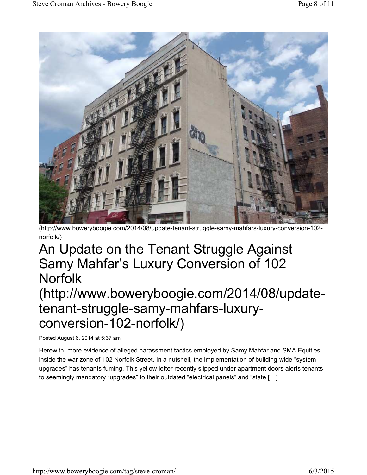

(http://www.boweryboogie.com/2014/08/update-tenant-struggle-samy-mahfars-luxury-conversion-102 norfolk/)

## An Update on the Tenant Struggle Against Samy Mahfar's Luxury Conversion of 102 **Norfolk**

#### (http://www.boweryboogie.com/2014/08/updatetenant-struggle-samy-mahfars-luxuryconversion-102-norfolk/)

Posted August 6, 2014 at 5:37 am

Herewith, more evidence of alleged harassment tactics employed by Samy Mahfar and SMA Equities inside the war zone of 102 Norfolk Street. In a nutshell, the implementation of building-wide "system upgrades" has tenants fuming. This yellow letter recently slipped under apartment doors alerts tenants to seemingly mandatory "upgrades" to their outdated "electrical panels" and "state […]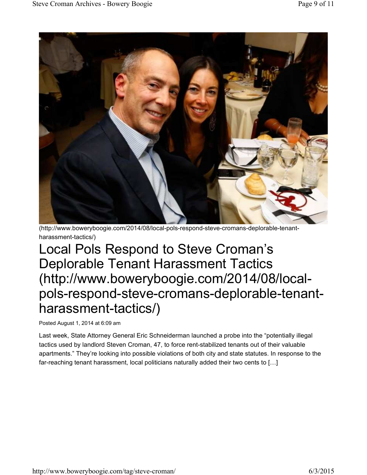

(http://www.boweryboogie.com/2014/08/local-pols-respond-steve-cromans-deplorable-tenantharassment-tactics/)

Local Pols Respond to Steve Croman's Deplorable Tenant Harassment Tactics (http://www.boweryboogie.com/2014/08/localpols-respond-steve-cromans-deplorable-tenantharassment-tactics/)

Posted August 1, 2014 at 6:09 am

Last week, State Attorney General Eric Schneiderman launched a probe into the "potentially illegal tactics used by landlord Steven Croman, 47, to force rent-stabilized tenants out of their valuable apartments." They're looking into possible violations of both city and state statutes. In response to the far-reaching tenant harassment, local politicians naturally added their two cents to […]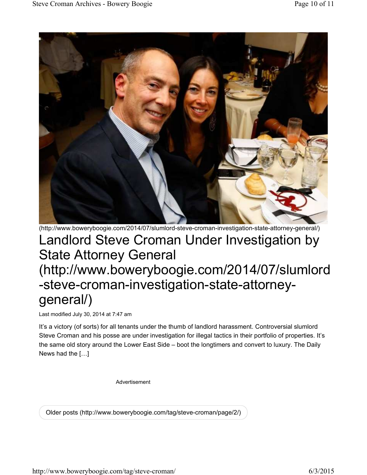

(http://www.boweryboogie.com/2014/07/slumlord-steve-croman-investigation-state-attorney-general/) Landlord Steve Croman Under Investigation by State Attorney General

### (http://www.boweryboogie.com/2014/07/slumlord -steve-croman-investigation-state-attorneygeneral/)

Last modified July 30, 2014 at 7:47 am

It's a victory (of sorts) for all tenants under the thumb of landlord harassment. Controversial slumlord Steve Croman and his posse are under investigation for illegal tactics in their portfolio of properties. It's the same old story around the Lower East Side – boot the longtimers and convert to luxury. The Daily News had the […]

Advertisement

Older posts (http://www.boweryboogie.com/tag/steve-croman/page/2/)